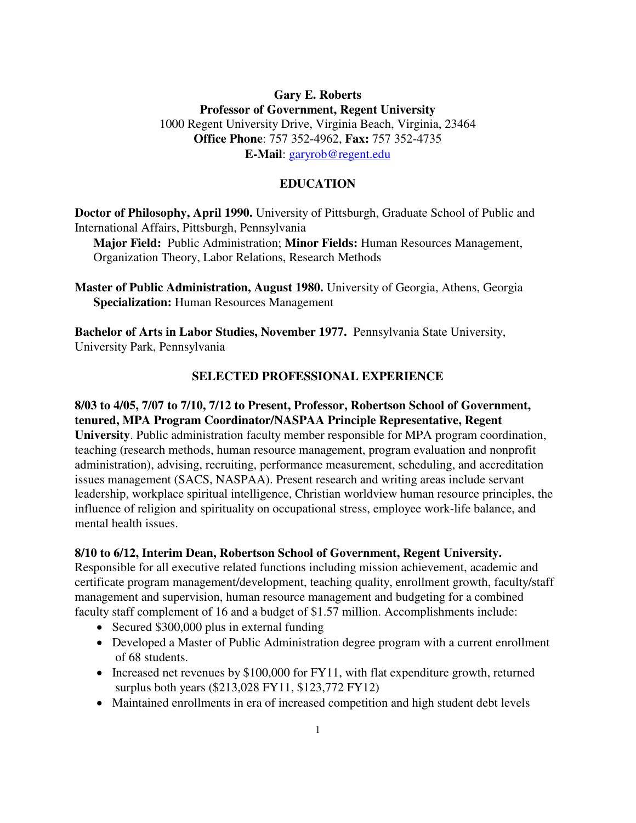# **Gary E. Roberts Professor of Government, Regent University**  1000 Regent University Drive, Virginia Beach, Virginia, 23464 **Office Phone**: 757 352-4962, **Fax:** 757 352-4735 **E-Mail**: [garyrob@regent.edu](mailto:garyrob@regent.edu)

#### **EDUCATION**

**Doctor of Philosophy, April 1990.** University of Pittsburgh, Graduate School of Public and International Affairs, Pittsburgh, Pennsylvania

**Major Field:** Public Administration; **Minor Fields:** Human Resources Management, Organization Theory, Labor Relations, Research Methods

**Master of Public Administration, August 1980.** University of Georgia, Athens, Georgia **Specialization:** Human Resources Management

**Bachelor of Arts in Labor Studies, November 1977.** Pennsylvania State University, University Park, Pennsylvania

### **SELECTED PROFESSIONAL EXPERIENCE**

# **8/03 to 4/05, 7/07 to 7/10, 7/12 to Present, Professor, Robertson School of Government, tenured, MPA Program Coordinator/NASPAA Principle Representative, Regent**

**University**. Public administration faculty member responsible for MPA program coordination, teaching (research methods, human resource management, program evaluation and nonprofit administration), advising, recruiting, performance measurement, scheduling, and accreditation issues management (SACS, NASPAA). Present research and writing areas include servant leadership, workplace spiritual intelligence, Christian worldview human resource principles, the influence of religion and spirituality on occupational stress, employee work-life balance, and mental health issues.

#### **8/10 to 6/12, Interim Dean, Robertson School of Government, Regent University.**

Responsible for all executive related functions including mission achievement, academic and certificate program management/development, teaching quality, enrollment growth, faculty/staff management and supervision, human resource management and budgeting for a combined faculty staff complement of 16 and a budget of \$1.57 million. Accomplishments include:

- Secured \$300,000 plus in external funding
- Developed a Master of Public Administration degree program with a current enrollment of 68 students.
- Increased net revenues by \$100,000 for FY11, with flat expenditure growth, returned surplus both years (\$213,028 FY11, \$123,772 FY12)
- Maintained enrollments in era of increased competition and high student debt levels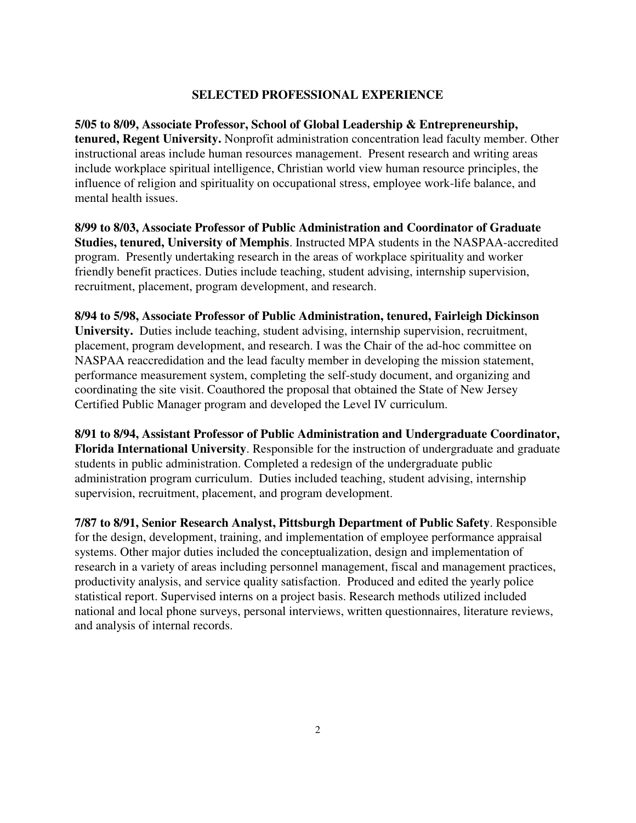## **SELECTED PROFESSIONAL EXPERIENCE**

**5/05 to 8/09, Associate Professor, School of Global Leadership & Entrepreneurship, tenured, Regent University.** Nonprofit administration concentration lead faculty member. Other instructional areas include human resources management. Present research and writing areas include workplace spiritual intelligence, Christian world view human resource principles, the influence of religion and spirituality on occupational stress, employee work-life balance, and mental health issues.

**8/99 to 8/03, Associate Professor of Public Administration and Coordinator of Graduate Studies, tenured, University of Memphis**. Instructed MPA students in the NASPAA-accredited program. Presently undertaking research in the areas of workplace spirituality and worker friendly benefit practices. Duties include teaching, student advising, internship supervision, recruitment, placement, program development, and research.

**8/94 to 5/98, Associate Professor of Public Administration, tenured, Fairleigh Dickinson University.** Duties include teaching, student advising, internship supervision, recruitment, placement, program development, and research. I was the Chair of the ad-hoc committee on NASPAA reaccredidation and the lead faculty member in developing the mission statement, performance measurement system, completing the self-study document, and organizing and coordinating the site visit. Coauthored the proposal that obtained the State of New Jersey Certified Public Manager program and developed the Level IV curriculum.

**8/91 to 8/94, Assistant Professor of Public Administration and Undergraduate Coordinator, Florida International University**. Responsible for the instruction of undergraduate and graduate students in public administration. Completed a redesign of the undergraduate public administration program curriculum. Duties included teaching, student advising, internship supervision, recruitment, placement, and program development.

**7/87 to 8/91, Senior Research Analyst, Pittsburgh Department of Public Safety**. Responsible for the design, development, training, and implementation of employee performance appraisal systems. Other major duties included the conceptualization, design and implementation of research in a variety of areas including personnel management, fiscal and management practices, productivity analysis, and service quality satisfaction. Produced and edited the yearly police statistical report. Supervised interns on a project basis. Research methods utilized included national and local phone surveys, personal interviews, written questionnaires, literature reviews, and analysis of internal records.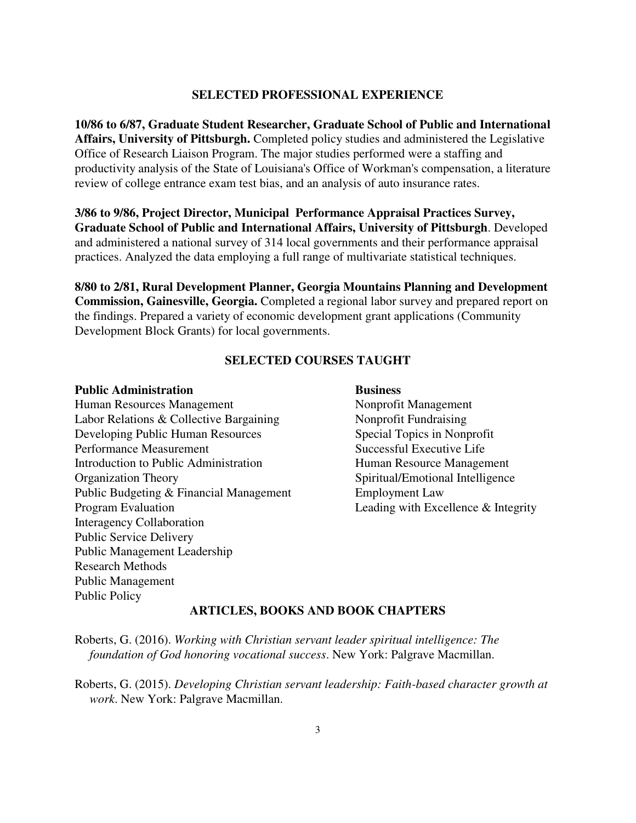#### **SELECTED PROFESSIONAL EXPERIENCE**

**10/86 to 6/87, Graduate Student Researcher, Graduate School of Public and International Affairs, University of Pittsburgh.** Completed policy studies and administered the Legislative Office of Research Liaison Program. The major studies performed were a staffing and productivity analysis of the State of Louisiana's Office of Workman's compensation, a literature review of college entrance exam test bias, and an analysis of auto insurance rates.

**3/86 to 9/86, Project Director, Municipal Performance Appraisal Practices Survey, Graduate School of Public and International Affairs, University of Pittsburgh**. Developed and administered a national survey of 314 local governments and their performance appraisal practices. Analyzed the data employing a full range of multivariate statistical techniques.

**8/80 to 2/81, Rural Development Planner, Georgia Mountains Planning and Development Commission, Gainesville, Georgia.** Completed a regional labor survey and prepared report on the findings. Prepared a variety of economic development grant applications (Community Development Block Grants) for local governments.

### **SELECTED COURSES TAUGHT**

#### **Public Administration** Business

Human Resources Management Nonprofit Management Labor Relations & Collective Bargaining Nonprofit Fundraising Developing Public Human Resources Special Topics in Nonprofit Performance Measurement Successful Executive Life Introduction to Public Administration Human Resource Management Organization Theory Spiritual/Emotional Intelligence Public Budgeting & Financial Management Employment Law<br>Program Evaluation Leading with Exce Interagency Collaboration Public Service Delivery Public Management Leadership Research Methods Public Management Public Policy

Leading with Excellence  $&$  Integrity

#### **ARTICLES, BOOKS AND BOOK CHAPTERS**

Roberts, G. (2016). *Working with Christian servant leader spiritual intelligence: The foundation of God honoring vocational success*. New York: Palgrave Macmillan.

Roberts, G. (2015). *Developing Christian servant leadership: Faith-based character growth at work*. New York: Palgrave Macmillan.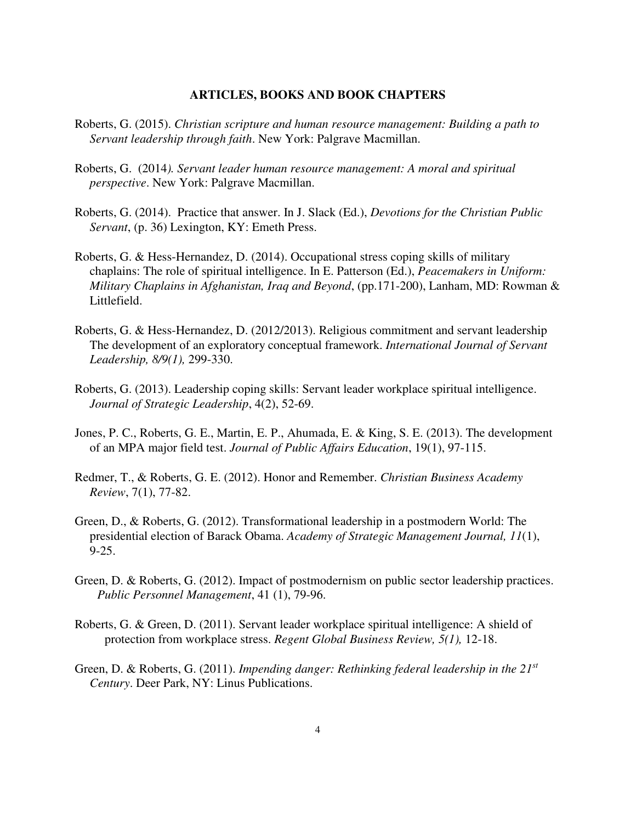- Roberts, G. (2015). *Christian scripture and human resource management: Building a path to Servant leadership through faith*. New York: Palgrave Macmillan.
- Roberts, G. (2014*). Servant leader human resource management: A moral and spiritual perspective*. New York: Palgrave Macmillan.
- Roberts, G. (2014). Practice that answer. In J. Slack (Ed.), *Devotions for the Christian Public Servant*, (p. 36) Lexington, KY: Emeth Press.
- Roberts, G. & Hess-Hernandez, D. (2014). Occupational stress coping skills of military chaplains: The role of spiritual intelligence. In E. Patterson (Ed.), *Peacemakers in Uniform: Military Chaplains in Afghanistan, Iraq and Beyond*, (pp.171-200), Lanham, MD: Rowman & Littlefield.
- Roberts, G. & Hess-Hernandez, D. (2012/2013). Religious commitment and servant leadership The development of an exploratory conceptual framework. *International Journal of Servant Leadership, 8/9(1),* 299-330.
- Roberts, G. (2013). Leadership coping skills: Servant leader workplace spiritual intelligence.  *Journal of Strategic Leadership*, 4(2), 52-69.
- Jones, P. C., Roberts, G. E., Martin, E. P., Ahumada, E. & King, S. E. (2013). The development of an MPA major field test. *Journal of Public Affairs Education*, 19(1), 97-115.
- Redmer, T., & Roberts, G. E. (2012). Honor and Remember. *Christian Business Academy Review*, 7(1), 77-82.
- Green, D., & Roberts, G. (2012). Transformational leadership in a postmodern World: The presidential election of Barack Obama. *Academy of Strategic Management Journal, 11*(1), 9-25.
- Green, D. & Roberts, G. (2012). Impact of postmodernism on public sector leadership practices. *Public Personnel Management*, 41 (1), 79-96.
- Roberts, G. & Green, D. (2011). Servant leader workplace spiritual intelligence: A shield of protection from workplace stress. *Regent Global Business Review, 5(1),* 12-18.
- Green, D. & Roberts, G. (2011). *Impending danger: Rethinking federal leadership in the 21st Century*. Deer Park, NY: Linus Publications.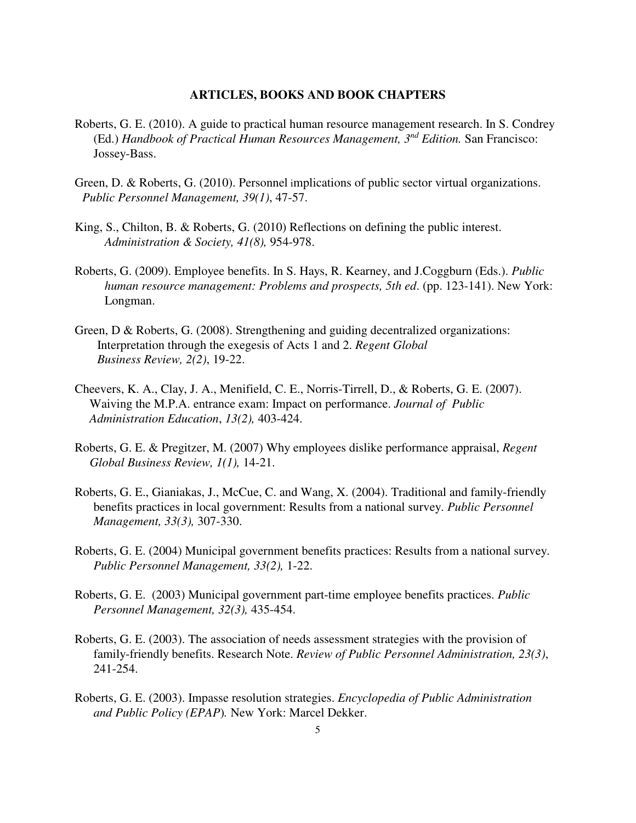- Roberts, G. E. (2010). A guide to practical human resource management research. In S. Condrey (Ed.) *Handbook of Practical Human Resources Management, 3nd Edition.* San Francisco: Jossey-Bass.
- Green, D. & Roberts, G. (2010). Personnel implications of public sector virtual organizations. *Public Personnel Management, 39(1)*, 47-57.
- King, S., Chilton, B. & Roberts, G. (2010) Reflections on defining the public interest. *Administration & Society, 41(8),* 954-978.
- Roberts, G. (2009). Employee benefits. In S. Hays, R. Kearney, and J.Coggburn (Eds.). *Public human resource management: Problems and prospects, 5th ed*. (pp. 123-141). New York: Longman.
- Green, D & Roberts, G. (2008). Strengthening and guiding decentralized organizations: Interpretation through the exegesis of Acts 1 and 2. *Regent Global Business Review, 2(2)*, 19-22.
- Cheevers, K. A., Clay, J. A., Menifield, C. E., Norris-Tirrell, D., & Roberts, G. E. (2007). Waiving the M.P.A. entrance exam: Impact on performance. *Journal of Public Administration Education*, *13(2),* 403-424.
- Roberts, G. E. & Pregitzer, M. (2007) Why employees dislike performance appraisal, *Regent Global Business Review, 1(1),* 14-21.
- Roberts, G. E., Gianiakas, J., McCue, C. and Wang, X. (2004). Traditional and family-friendly benefits practices in local government: Results from a national survey. *Public Personnel Management, 33(3),* 307-330.
- Roberts, G. E. (2004) Municipal government benefits practices: Results from a national survey. *Public Personnel Management, 33(2),* 1-22.
- Roberts, G. E. (2003) Municipal government part-time employee benefits practices. *Public Personnel Management, 32(3),* 435-454.
- Roberts, G. E. (2003). The association of needs assessment strategies with the provision of family-friendly benefits. Research Note. *Review of Public Personnel Administration, 23(3)*, 241-254.
- Roberts, G. E. (2003). Impasse resolution strategies. *Encyclopedia of Public Administration and Public Policy (EPAP*)*.* New York: Marcel Dekker.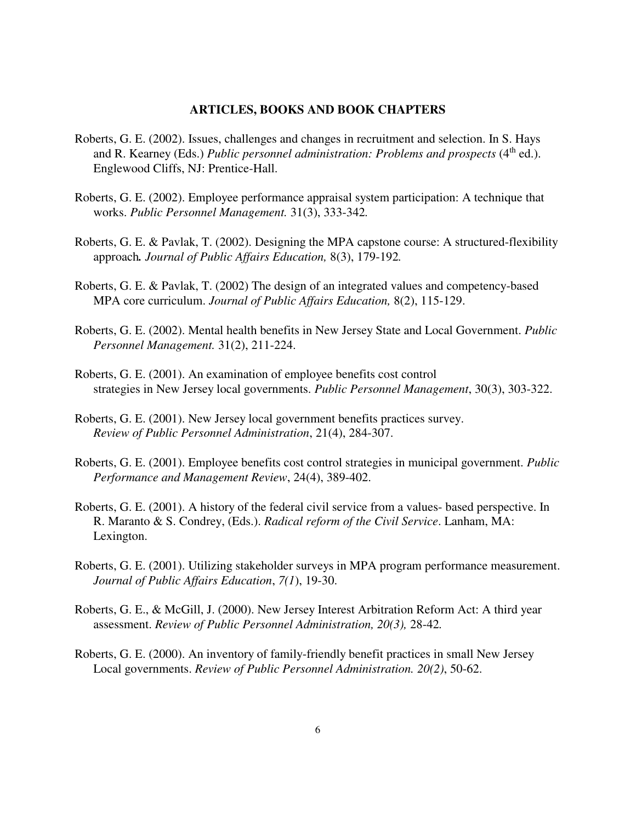- Roberts, G. E. (2002). Issues, challenges and changes in recruitment and selection. In S. Hays and R. Kearney (Eds.) *Public personnel administration: Problems and prospects* (4<sup>th</sup> ed.). Englewood Cliffs, NJ: Prentice-Hall.
- Roberts, G. E. (2002). Employee performance appraisal system participation: A technique that works. *Public Personnel Management.* 31(3), 333-342*.*
- Roberts, G. E. & Pavlak, T. (2002). Designing the MPA capstone course: A structured-flexibility approach*. Journal of Public Affairs Education,* 8(3), 179-192*.*
- Roberts, G. E. & Pavlak, T. (2002) The design of an integrated values and competency-based MPA core curriculum. *Journal of Public Affairs Education,* 8(2), 115-129.
- Roberts, G. E. (2002). Mental health benefits in New Jersey State and Local Government. *Public Personnel Management.* 31(2), 211-224.
- Roberts, G. E. (2001). An examination of employee benefits cost control strategies in New Jersey local governments. *Public Personnel Management*, 30(3), 303-322.
- Roberts, G. E. (2001). New Jersey local government benefits practices survey. *Review of Public Personnel Administration*, 21(4), 284-307.
- Roberts, G. E. (2001). Employee benefits cost control strategies in municipal government. *Public Performance and Management Review*, 24(4), 389-402.
- Roberts, G. E. (2001). A history of the federal civil service from a values- based perspective. In R. Maranto & S. Condrey, (Eds.). *Radical reform of the Civil Service*. Lanham, MA: Lexington.
- Roberts, G. E. (2001). Utilizing stakeholder surveys in MPA program performance measurement. *Journal of Public Affairs Education*, *7(1*), 19-30.
- Roberts, G. E., & McGill, J. (2000). New Jersey Interest Arbitration Reform Act: A third year assessment. *Review of Public Personnel Administration, 20(3),* 28-42*.*
- Roberts, G. E. (2000). An inventory of family-friendly benefit practices in small New Jersey Local governments. *Review of Public Personnel Administration. 20(2)*, 50-62.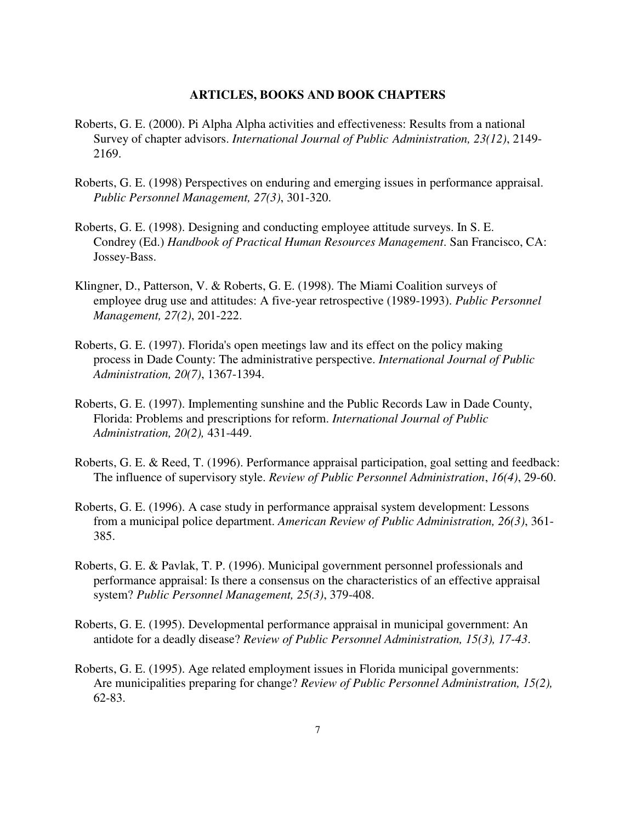- Roberts, G. E. (2000). Pi Alpha Alpha activities and effectiveness: Results from a national Survey of chapter advisors. *International Journal of Public Administration, 23(12)*, 2149- 2169.
- Roberts, G. E. (1998) Perspectives on enduring and emerging issues in performance appraisal. *Public Personnel Management, 27(3)*, 301-320.
- Roberts, G. E. (1998). Designing and conducting employee attitude surveys. In S. E. Condrey (Ed.) *Handbook of Practical Human Resources Management*. San Francisco, CA: Jossey-Bass.
- Klingner, D., Patterson, V. & Roberts, G. E. (1998). The Miami Coalition surveys of employee drug use and attitudes: A five-year retrospective (1989-1993). *Public Personnel Management, 27(2)*, 201-222.
- Roberts, G. E. (1997). Florida's open meetings law and its effect on the policy making process in Dade County: The administrative perspective. *International Journal of Public Administration, 20(7)*, 1367-1394.
- Roberts, G. E. (1997). Implementing sunshine and the Public Records Law in Dade County, Florida: Problems and prescriptions for reform. *International Journal of Public Administration, 20(2),* 431-449.
- Roberts, G. E. & Reed, T. (1996). Performance appraisal participation, goal setting and feedback: The influence of supervisory style. *Review of Public Personnel Administration*, *16(4)*, 29-60.
- Roberts, G. E. (1996). A case study in performance appraisal system development: Lessons from a municipal police department. *American Review of Public Administration, 26(3)*, 361- 385.
- Roberts, G. E. & Pavlak, T. P. (1996). Municipal government personnel professionals and performance appraisal: Is there a consensus on the characteristics of an effective appraisal system? *Public Personnel Management, 25(3)*, 379-408.
- Roberts, G. E. (1995). Developmental performance appraisal in municipal government: An antidote for a deadly disease? *Review of Public Personnel Administration, 15(3), 17-43*.
- Roberts, G. E. (1995). Age related employment issues in Florida municipal governments: Are municipalities preparing for change? *Review of Public Personnel Administration, 15(2),*  62-83.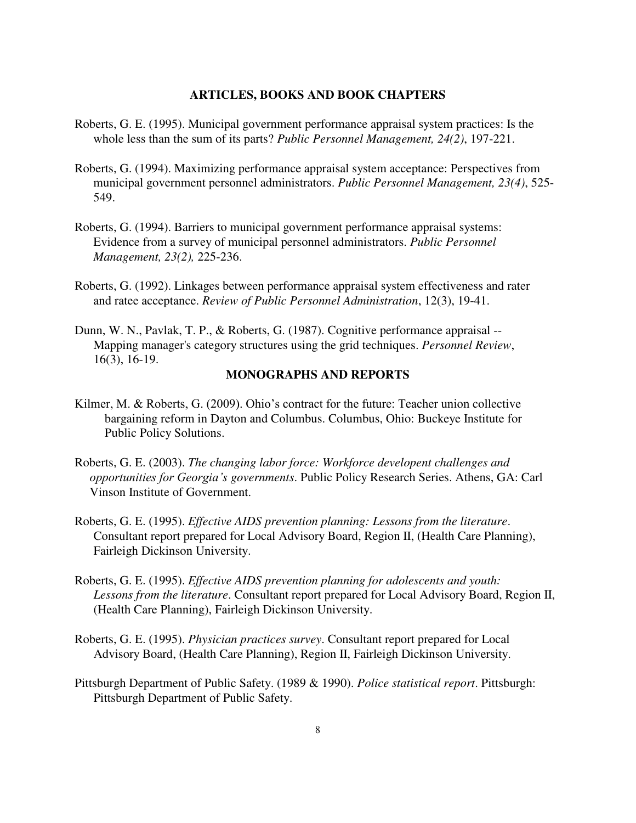- Roberts, G. E. (1995). Municipal government performance appraisal system practices: Is the whole less than the sum of its parts? *Public Personnel Management, 24(2)*, 197-221.
- Roberts, G. (1994). Maximizing performance appraisal system acceptance: Perspectives from municipal government personnel administrators. *Public Personnel Management, 23(4)*, 525- 549.
- Roberts, G. (1994). Barriers to municipal government performance appraisal systems: Evidence from a survey of municipal personnel administrators. *Public Personnel Management, 23(2),* 225-236.
- Roberts, G. (1992). Linkages between performance appraisal system effectiveness and rater and ratee acceptance. *Review of Public Personnel Administration*, 12(3), 19-41.
- Dunn, W. N., Pavlak, T. P., & Roberts, G. (1987). Cognitive performance appraisal -- Mapping manager's category structures using the grid techniques. *Personnel Review*, 16(3), 16-19.

#### **MONOGRAPHS AND REPORTS**

- Kilmer, M. & Roberts, G. (2009). Ohio's contract for the future: Teacher union collective bargaining reform in Dayton and Columbus. Columbus, Ohio: Buckeye Institute for Public Policy Solutions.
- Roberts, G. E. (2003). *The changing labor force: Workforce developent challenges and opportunities for Georgia's governments*. Public Policy Research Series. Athens, GA: Carl Vinson Institute of Government.
- Roberts, G. E. (1995). *Effective AIDS prevention planning: Lessons from the literature*. Consultant report prepared for Local Advisory Board, Region II, (Health Care Planning), Fairleigh Dickinson University.
- Roberts, G. E. (1995). *Effective AIDS prevention planning for adolescents and youth: Lessons from the literature*. Consultant report prepared for Local Advisory Board, Region II, (Health Care Planning), Fairleigh Dickinson University.
- Roberts, G. E. (1995). *Physician practices survey*. Consultant report prepared for Local Advisory Board, (Health Care Planning), Region II, Fairleigh Dickinson University.
- Pittsburgh Department of Public Safety. (1989 & 1990). *Police statistical report*. Pittsburgh: Pittsburgh Department of Public Safety.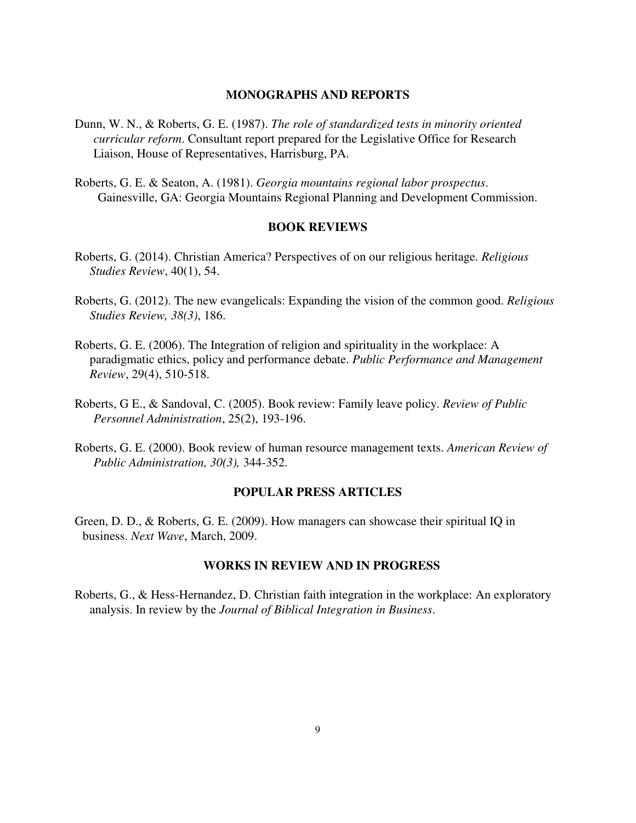#### **MONOGRAPHS AND REPORTS**

- Dunn, W. N., & Roberts, G. E. (1987). *The role of standardized tests in minority oriented curricular reform*. Consultant report prepared for the Legislative Office for Research Liaison, House of Representatives, Harrisburg, PA.
- Roberts, G. E. & Seaton, A. (1981). *Georgia mountains regional labor prospectus*. Gainesville, GA: Georgia Mountains Regional Planning and Development Commission.

#### **BOOK REVIEWS**

- Roberts, G. (2014). Christian America? Perspectives of on our religious heritage. *Religious Studies Review*, 40(1), 54.
- Roberts, G. (2012). The new evangelicals: Expanding the vision of the common good. *Religious Studies Review, 38(3)*, 186.
- Roberts, G. E. (2006). The Integration of religion and spirituality in the workplace: A paradigmatic ethics, policy and performance debate. *Public Performance and Management Review*, 29(4), 510-518.
- Roberts, G E., & Sandoval, C. (2005). Book review: Family leave policy. *Review of Public Personnel Administration*, 25(2), 193-196.
- Roberts, G. E. (2000). Book review of human resource management texts. *American Review of Public Administration, 30(3),* 344-352.

#### **POPULAR PRESS ARTICLES**

Green, D. D., & Roberts, G. E. (2009). How managers can showcase their spiritual IQ in business. *Next Wave*, March, 2009.

#### **WORKS IN REVIEW AND IN PROGRESS**

Roberts, G., & Hess-Hernandez, D. Christian faith integration in the workplace: An exploratory analysis. In review by the *Journal of Biblical Integration in Business*.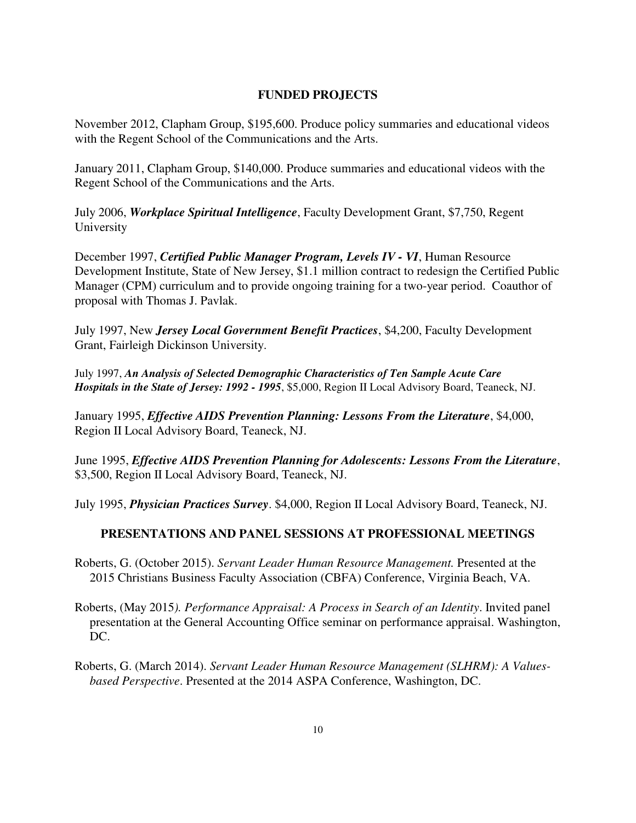## **FUNDED PROJECTS**

November 2012, Clapham Group, \$195,600. Produce policy summaries and educational videos with the Regent School of the Communications and the Arts.

January 2011, Clapham Group, \$140,000. Produce summaries and educational videos with the Regent School of the Communications and the Arts.

July 2006, *Workplace Spiritual Intelligence*, Faculty Development Grant, \$7,750, Regent University

December 1997, *Certified Public Manager Program, Levels IV - VI*, Human Resource Development Institute, State of New Jersey, \$1.1 million contract to redesign the Certified Public Manager (CPM) curriculum and to provide ongoing training for a two-year period. Coauthor of proposal with Thomas J. Pavlak.

July 1997, New *Jersey Local Government Benefit Practices*, \$4,200, Faculty Development Grant, Fairleigh Dickinson University.

July 1997, *An Analysis of Selected Demographic Characteristics of Ten Sample Acute Care Hospitals in the State of Jersey: 1992 - 1995*, \$5,000, Region II Local Advisory Board, Teaneck, NJ.

January 1995, *Effective AIDS Prevention Planning: Lessons From the Literature*, \$4,000, Region II Local Advisory Board, Teaneck, NJ.

June 1995, *Effective AIDS Prevention Planning for Adolescents: Lessons From the Literature*, \$3,500, Region II Local Advisory Board, Teaneck, NJ.

July 1995, *Physician Practices Survey*. \$4,000, Region II Local Advisory Board, Teaneck, NJ.

## **PRESENTATIONS AND PANEL SESSIONS AT PROFESSIONAL MEETINGS**

Roberts, G. (October 2015). *Servant Leader Human Resource Management.* Presented at the 2015 Christians Business Faculty Association (CBFA) Conference, Virginia Beach, VA.

- Roberts, (May 2015*). Performance Appraisal: A Process in Search of an Identity*. Invited panel presentation at the General Accounting Office seminar on performance appraisal. Washington, DC.
- Roberts, G. (March 2014). *Servant Leader Human Resource Management (SLHRM): A Values based Perspective*. Presented at the 2014 ASPA Conference, Washington, DC.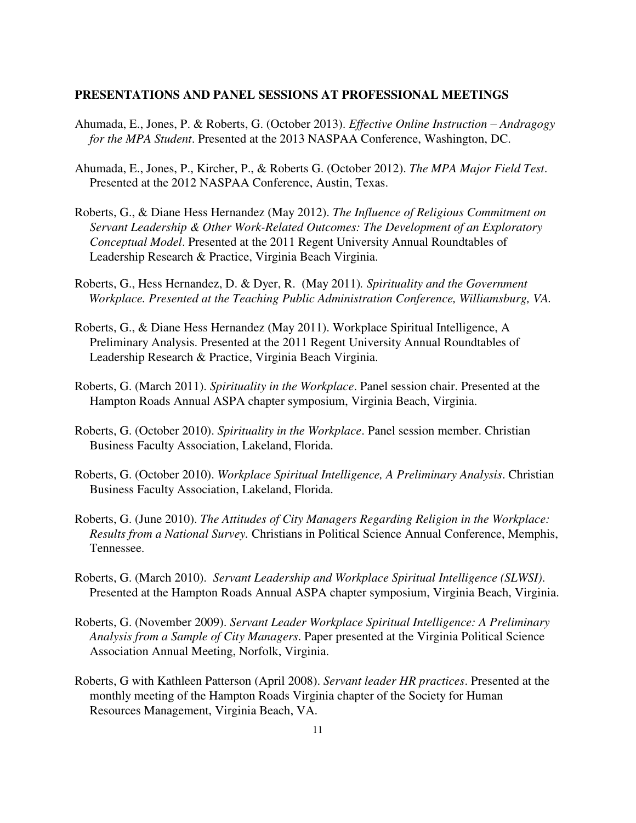#### **PRESENTATIONS AND PANEL SESSIONS AT PROFESSIONAL MEETINGS**

- Ahumada, E., Jones, P. & Roberts, G. (October 2013). *Effective Online Instruction – Andragogy for the MPA Student*. Presented at the 2013 NASPAA Conference, Washington, DC.
- Ahumada, E., Jones, P., Kircher, P., & Roberts G. (October 2012). *The MPA Major Field Test*. Presented at the 2012 NASPAA Conference, Austin, Texas.
- Roberts, G., & Diane Hess Hernandez (May 2012). *The Influence of Religious Commitment on Servant Leadership & Other Work-Related Outcomes: The Development of an Exploratory Conceptual Model*. Presented at the 2011 Regent University Annual Roundtables of Leadership Research & Practice, Virginia Beach Virginia.
- Roberts, G., Hess Hernandez, D. & Dyer, R. (May 2011)*. Spirituality and the Government Workplace. Presented at the Teaching Public Administration Conference, Williamsburg, VA.*
- Roberts, G., & Diane Hess Hernandez (May 2011). Workplace Spiritual Intelligence, A Preliminary Analysis. Presented at the 2011 Regent University Annual Roundtables of Leadership Research & Practice, Virginia Beach Virginia.
- Roberts, G. (March 2011). *Spirituality in the Workplace*. Panel session chair. Presented at the Hampton Roads Annual ASPA chapter symposium, Virginia Beach, Virginia.
- Roberts, G. (October 2010). *Spirituality in the Workplace*. Panel session member. Christian Business Faculty Association, Lakeland, Florida.
- Roberts, G. (October 2010). *Workplace Spiritual Intelligence, A Preliminary Analysis*. Christian Business Faculty Association, Lakeland, Florida.
- Roberts, G. (June 2010). *The Attitudes of City Managers Regarding Religion in the Workplace: Results from a National Survey.* Christians in Political Science Annual Conference, Memphis, Tennessee.
- Roberts, G. (March 2010). *Servant Leadership and Workplace Spiritual Intelligence (SLWSI)*. Presented at the Hampton Roads Annual ASPA chapter symposium, Virginia Beach, Virginia.
- Roberts, G. (November 2009). *Servant Leader Workplace Spiritual Intelligence: A Preliminary Analysis from a Sample of City Managers*. Paper presented at the Virginia Political Science Association Annual Meeting, Norfolk, Virginia.
- Roberts, G with Kathleen Patterson (April 2008). *Servant leader HR practices*. Presented at the monthly meeting of the Hampton Roads Virginia chapter of the Society for Human Resources Management, Virginia Beach, VA.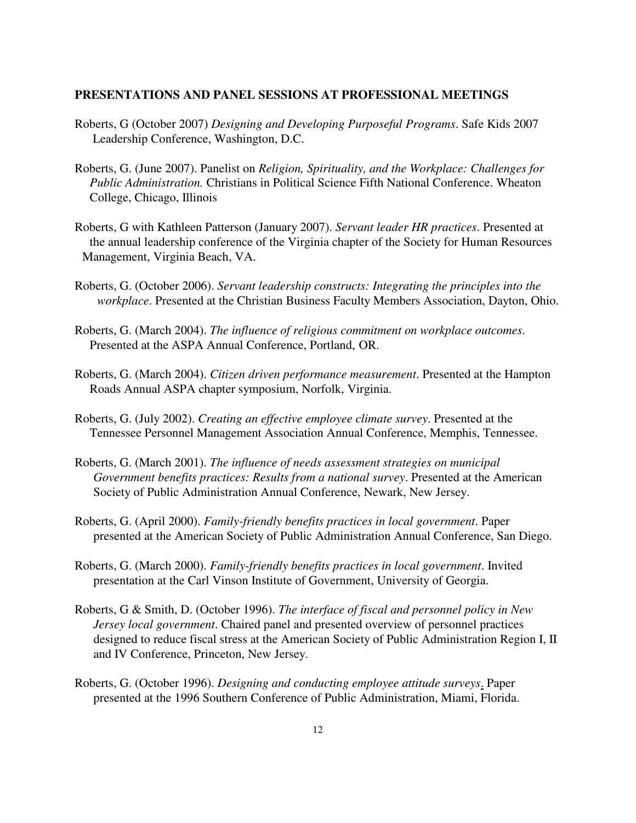#### **PRESENTATIONS AND PANEL SESSIONS AT PROFESSIONAL MEETINGS**

- Roberts, G (October 2007) *Designing and Developing Purposeful Programs*. Safe Kids 2007 Leadership Conference, Washington, D.C.
- Roberts, G. (June 2007). Panelist on *Religion, Spirituality, and the Workplace: Challenges for Public Administration.* Christians in Political Science Fifth National Conference. Wheaton College, Chicago, Illinois
- Roberts, G with Kathleen Patterson (January 2007). *Servant leader HR practices*. Presented at the annual leadership conference of the Virginia chapter of the Society for Human Resources Management, Virginia Beach, VA.
- Roberts, G. (October 2006). *Servant leadership constructs: Integrating the principles into the workplace*. Presented at the Christian Business Faculty Members Association, Dayton, Ohio.
- Roberts, G. (March 2004). *The influence of religious commitment on workplace outcomes*. Presented at the ASPA Annual Conference, Portland, OR.
- Roberts, G. (March 2004). *Citizen driven performance measurement*. Presented at the Hampton Roads Annual ASPA chapter symposium, Norfolk, Virginia.
- Roberts, G. (July 2002). *Creating an effective employee climate survey*. Presented at the Tennessee Personnel Management Association Annual Conference, Memphis, Tennessee.
- Roberts, G. (March 2001). *The influence of needs assessment strategies on municipal Government benefits practices: Results from a national survey*. Presented at the American Society of Public Administration Annual Conference, Newark, New Jersey.
- Roberts, G. (April 2000). *Family-friendly benefits practices in local government*. Paper presented at the American Society of Public Administration Annual Conference, San Diego.
- Roberts, G. (March 2000). *Family-friendly benefits practices in local government*. Invited presentation at the Carl Vinson Institute of Government, University of Georgia.
- Roberts, G & Smith, D. (October 1996). *The interface of fiscal and personnel policy in New Jersey local government*. Chaired panel and presented overview of personnel practices designed to reduce fiscal stress at the American Society of Public Administration Region I, II and IV Conference, Princeton, New Jersey.
- Roberts, G. (October 1996). *Designing and conducting employee attitude surveys*. Paper presented at the 1996 Southern Conference of Public Administration, Miami, Florida.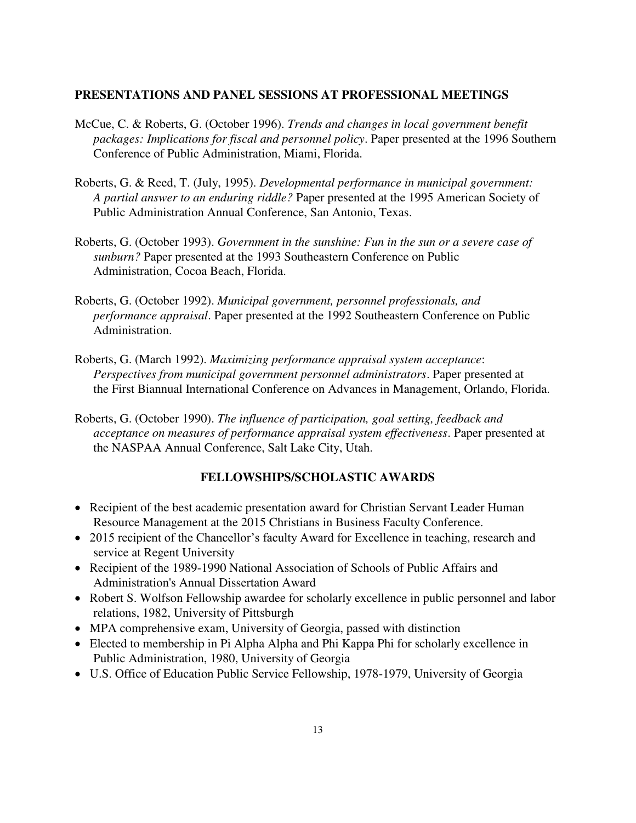### **PRESENTATIONS AND PANEL SESSIONS AT PROFESSIONAL MEETINGS**

- McCue, C. & Roberts, G. (October 1996). *Trends and changes in local government benefit packages: Implications for fiscal and personnel policy*. Paper presented at the 1996 Southern Conference of Public Administration, Miami, Florida.
- Roberts, G. & Reed, T. (July, 1995). *Developmental performance in municipal government: A partial answer to an enduring riddle?* Paper presented at the 1995 American Society of Public Administration Annual Conference, San Antonio, Texas.
- Roberts, G. (October 1993). *Government in the sunshine: Fun in the sun or a severe case of sunburn?* Paper presented at the 1993 Southeastern Conference on Public Administration, Cocoa Beach, Florida.
- Roberts, G. (October 1992). *Municipal government, personnel professionals, and performance appraisal*. Paper presented at the 1992 Southeastern Conference on Public Administration.
- Roberts, G. (March 1992). *Maximizing performance appraisal system acceptance*: *Perspectives from municipal government personnel administrators*. Paper presented at the First Biannual International Conference on Advances in Management, Orlando, Florida.
- Roberts, G. (October 1990). *The influence of participation, goal setting, feedback and acceptance on measures of performance appraisal system effectiveness*. Paper presented at the NASPAA Annual Conference, Salt Lake City, Utah.

## **FELLOWSHIPS/SCHOLASTIC AWARDS**

- Recipient of the best academic presentation award for Christian Servant Leader Human Resource Management at the 2015 Christians in Business Faculty Conference.
- 2015 recipient of the Chancellor's faculty Award for Excellence in teaching, research and service at Regent University
- Recipient of the 1989-1990 National Association of Schools of Public Affairs and Administration's Annual Dissertation Award
- Robert S. Wolfson Fellowship awardee for scholarly excellence in public personnel and labor relations, 1982, University of Pittsburgh
- MPA comprehensive exam, University of Georgia, passed with distinction
- Elected to membership in Pi Alpha Alpha and Phi Kappa Phi for scholarly excellence in Public Administration, 1980, University of Georgia
- U.S. Office of Education Public Service Fellowship, 1978-1979, University of Georgia